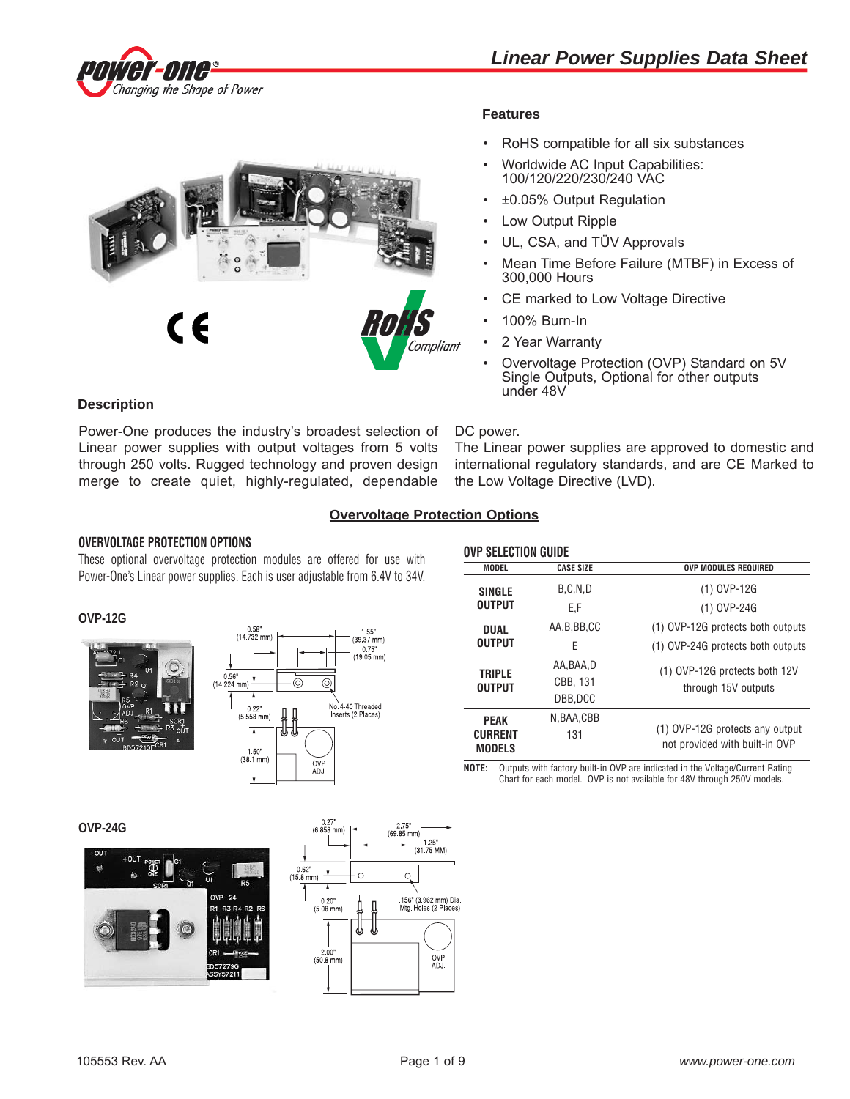



# **Features**

- RoHS compatible for all six substances
- Worldwide AC Input Capabilities: 100/120/220/230/240 VAC
- ±0.05% Output Regulation
- Low Output Ripple
- UL, CSA, and TÜV Approvals
- Mean Time Before Failure (MTBF) in Excess of 300,000 Hours
- CE marked to Low Voltage Directive
- 100% Burn-In
- 2 Year Warranty
- Overvoltage Protection (OVP) Standard on 5V Single Outputs, Optional for other outputs under 48V

## **Description**

Power-One produces the industry's broadest selection of Linear power supplies with output voltages from 5 volts through 250 volts. Rugged technology and proven design merge to create quiet, highly-regulated, dependable

#### DC power.

The Linear power supplies are approved to domestic and international regulatory standards, and are CE Marked to the Low Voltage Directive (LVD).

# **Overvoltage Protection Options**

### **OVERVOLTAGE PROTECTION OPTIONS**

These optional overvoltage protection modules are offered for use with Power-One's Linear power supplies. Each is user adjustable from 6.4V to 34V.

### **OVP-12G**





|                                 | <b>OVP SELECTION GUIDE</b> |                                                                   |  |  |  |  |
|---------------------------------|----------------------------|-------------------------------------------------------------------|--|--|--|--|
| <b>MODEL</b>                    | <b>CASE SIZE</b>           | <b>OVP MODULES REQUIRED</b>                                       |  |  |  |  |
| <b>SINGLE</b>                   | B.C.N.D                    | (1) OVP-12G                                                       |  |  |  |  |
| <b>OUTPUT</b>                   | E.F                        | (1) OVP-24G                                                       |  |  |  |  |
| <b>DUAL</b>                     | AA, B, BB, CC              | (1) OVP-12G protects both outputs                                 |  |  |  |  |
| <b>OUTPUT</b>                   | F                          | (1) OVP-24G protects both outputs                                 |  |  |  |  |
| <b>TRIPLE</b>                   | AA.BAA.D                   | (1) OVP-12G protects both 12V                                     |  |  |  |  |
| <b>OUTPUT</b>                   | CBB, 131                   | through 15V outputs                                               |  |  |  |  |
|                                 | DBB.DCC                    |                                                                   |  |  |  |  |
| <b>PEAK</b>                     | N.BAA.CBB                  |                                                                   |  |  |  |  |
| <b>CURRENT</b><br><b>MODELS</b> | 131                        | (1) OVP-12G protects any output<br>not provided with built-in OVP |  |  |  |  |

**NOTE:** Outputs with factory built-in OVP are indicated in the Voltage/Current Rating Chart for each model. OVP is not available for 48V through 250V models.

**OVP-24G**



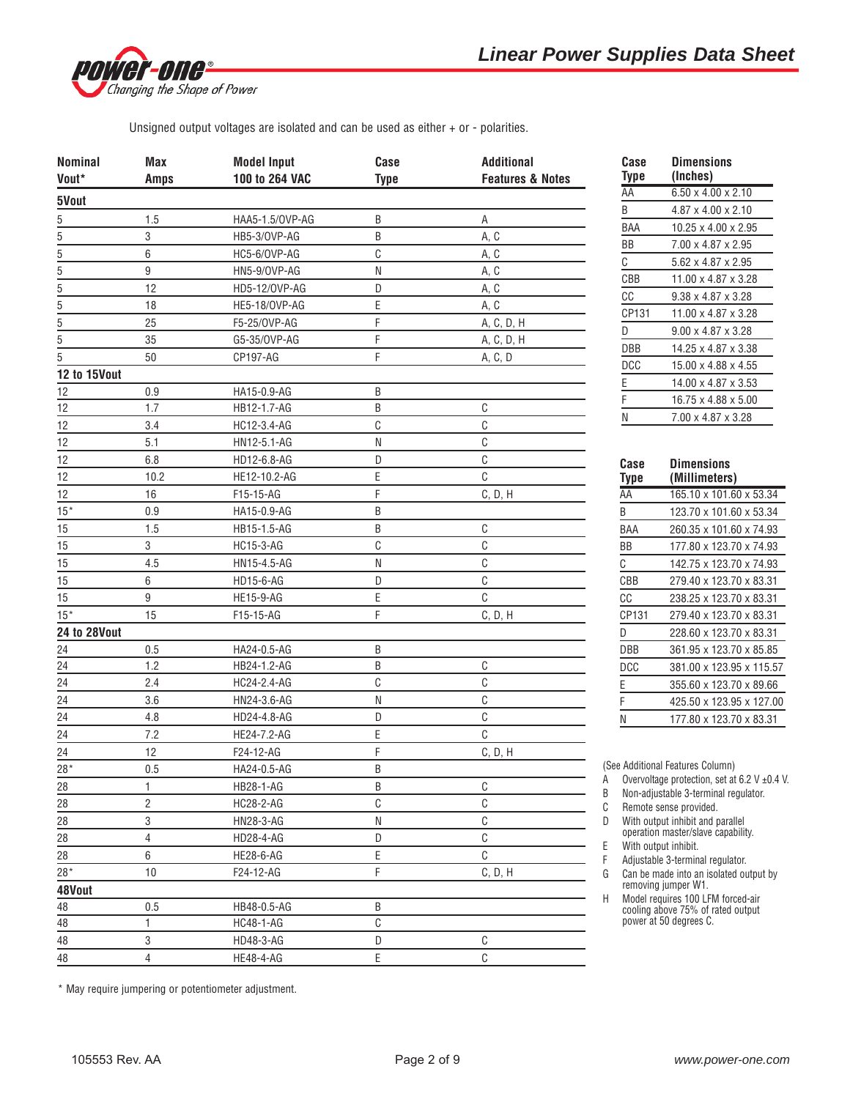

Unsigned output voltages are isolated and can be used as either + or - polarities.

| <b>Nominal</b>          | Max              | <b>Model Input</b> | Case         | <b>Additional</b>           |
|-------------------------|------------------|--------------------|--------------|-----------------------------|
| Vout*                   | <b>Amps</b>      | 100 to 264 VAC     | <b>Type</b>  | <b>Features &amp; Notes</b> |
| 5Vout                   |                  |                    |              |                             |
| $5 - 5 - 5 - 5 - 5 - 5$ | 1.5              | HAA5-1.5/0VP-AG    | B            | Α                           |
|                         | 3                | HB5-3/OVP-AG       | B            | A, C                        |
|                         | 6                | HC5-6/OVP-AG       | С            | A, C                        |
|                         | $\boldsymbol{9}$ | HN5-9/OVP-AG       | N            | A, C                        |
|                         | 12               | HD5-12/0VP-AG      | D            | A, C                        |
|                         | 18               | HE5-18/OVP-AG      | E            | A, C                        |
|                         | 25               | F5-25/0VP-AG       | F            | A, C, D, H                  |
| $\frac{1}{5}$           | 35               | G5-35/OVP-AG       | F            | A, C, D, H                  |
|                         | 50               | CP197-AG           | F            | A, C, D                     |
| 12 to 15Vout            |                  |                    |              |                             |
| 12                      | 0.9              | HA15-0.9-AG        | B            |                             |
| 12                      | 1.7              | HB12-1.7-AG        | B            | $\mathbb{C}$                |
| 12                      | 3.4              | HC12-3.4-AG        | C            | $\mathbb C$                 |
| 12                      | 5.1              | HN12-5.1-AG        | N            | $\mathbb C$                 |
| 12                      | 6.8              | HD12-6.8-AG        | D            | $\mathbb{C}$                |
| 12                      | 10.2             | HE12-10.2-AG       | E            | $\mathbb{C}$                |
| 12                      | 16               | F15-15-AG          | F            | C, D, H                     |
| $15*$                   | 0.9              | HA15-0.9-AG        | B            |                             |
| 15                      | 1.5              | HB15-1.5-AG        | B            | $\mathbb{C}$                |
| 15                      | 3                | <b>HC15-3-AG</b>   | $\mathbb C$  | $\mathbb C$                 |
| 15                      | 4.5              | HN15-4.5-AG        | N            | $\mathbb{C}$                |
| 15                      | 6                | HD15-6-AG          | D            | $\mathbb{C}$                |
| 15                      | 9                | <b>HE15-9-AG</b>   | Ε            | $\mathbb{C}$                |
| $15*$                   | 15               | F15-15-AG          | F            | C, D, H                     |
| <b>24 to 28Vout</b>     |                  |                    |              |                             |
| 24                      | 0.5              | HA24-0.5-AG        | B            |                             |
| 24                      | 1.2              | HB24-1.2-AG        | B            | $\mathbb C$                 |
| 24                      | 2.4              | HC24-2.4-AG        | C            | $\mathbb{C}$                |
|                         | 3.6              |                    | Ν            | C                           |
| 24<br>24                |                  | HN24-3.6-AG        | D            | $\mathbb{C}$                |
|                         | 4.8              | HD24-4.8-AG        |              | $\mathbb{C}$                |
| 24                      | 7.2              | HE24-7.2-AG        | E            |                             |
| 24                      | 12               | F24-12-AG          | F            | C, D, H                     |
| $28*$                   | 0.5              | HA24-0.5-AG        | B            |                             |
| 28                      | 1                | HB28-1-AG          | Β            | $\mathbb{C}$                |
| 28                      | $\overline{c}$   | HC28-2-AG          | C            | $\mathsf C$                 |
| 28                      | 3                | HN28-3-AG          | N            | $\mathbb{C}$                |
| 28                      | $\sqrt{4}$       | HD28-4-AG          | D            | $\mathbb{C}$                |
| 28                      | 6                | <b>HE28-6-AG</b>   | E            | $\mathbb{C}$                |
| $28*$                   | 10               | F24-12-AG          | F            | C, D, H                     |
| 48Vout                  |                  |                    |              |                             |
| 48                      | 0.5              | HB48-0.5-AG        | B            |                             |
| 48                      | $\mathbf{1}$     | HC48-1-AG          | $\mathbb{C}$ |                             |
| 48                      | 3                | HD48-3-AG          | D            | $\mathbb{C}$                |
| 48                      | $\overline{4}$   | HE48-4-AG          | E            | $\mathbb{C}$                |

| Case<br>Type | Dimensions<br>(Inches)          |
|--------------|---------------------------------|
| AA           | $6.50 \times 4.00 \times 2.10$  |
| B            | $4.87 \times 4.00 \times 2.10$  |
| BAA          | $10.25 \times 4.00 \times 2.95$ |
| ΒB           | 7.00 x 4.87 x 2.95              |
| C            | 5.62 x 4.87 x 2.95              |
| CBB          | $11.00 \times 4.87 \times 3.28$ |
| СC           | $9.38 \times 4.87 \times 3.28$  |
| CP131        | 11.00 x 4.87 x 3.28             |
| D            | $9.00 \times 4.87 \times 3.28$  |
| DBB          | 14.25 x 4.87 x 3.38             |
| DCC          | $15.00 \times 4.88 \times 4.55$ |
| E            | 14.00 x 4.87 x 3.53             |
| F            | 16.75 x 4.88 x 5.00             |
| Ν            | 7.00 x 4.87 x 3.28              |
| Case         | Dimensions                      |

| uase  | DIMENSIONS               |
|-------|--------------------------|
| Type  | (Millimeters)            |
| AA    | 165.10 x 101.60 x 53.34  |
| B     | 123.70 x 101.60 x 53.34  |
| BAA   | 260.35 x 101.60 x 74.93  |
| ΒB    | 177.80 x 123.70 x 74.93  |
| C     | 142.75 x 123.70 x 74.93  |
| CBB   | 279.40 x 123.70 x 83.31  |
| СC    | 238.25 x 123.70 x 83.31  |
| CP131 | 279.40 x 123.70 x 83.31  |
| D     | 228.60 x 123.70 x 83.31  |
| DBB   | 361.95 x 123.70 x 85.85  |
| DCC   | 381.00 x 123.95 x 115.57 |
| Ε     | 355.60 x 123.70 x 89.66  |
| F     | 425.50 x 123.95 x 127.00 |
| Ν     | 177.80 x 123.70 x 83.31  |
|       |                          |

(See Additional Features Column)

A Overvoltage protection, set at  $6.2$  V  $\pm$ 0.4 V.

B Non-adjustable 3-terminal regulator.

C Remote sense provided.

D With output inhibit and parallel operation master/slave capability.

E With output inhibit.

F Adjustable 3-terminal regulator.

G Can be made into an isolated output by removing jumper W1.

H Model requires 100 LFM forced-air cooling above 75% of rated output power at 50 degrees C.

\* May require jumpering or potentiometer adjustment.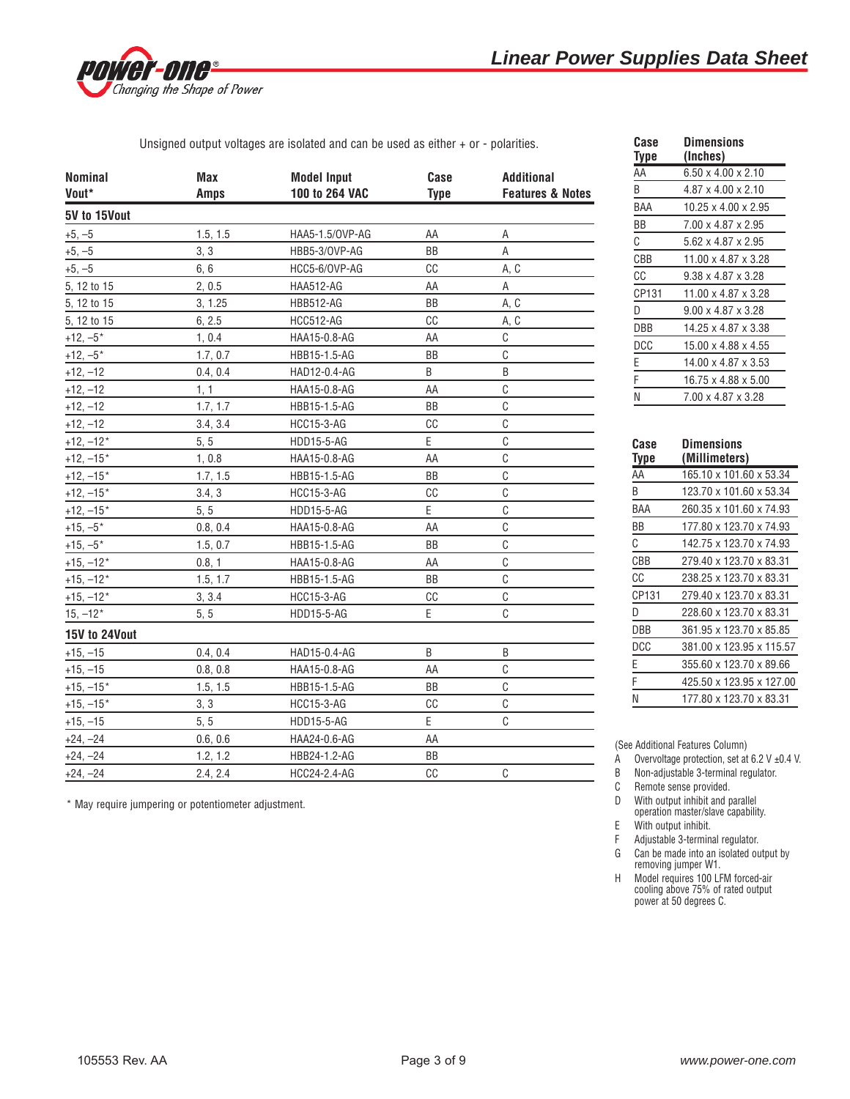

Unsigned output voltages are isolated and can be used as either + or - polarities.

| <b>Nominal</b><br>Vout* | Max<br><b>Amps</b> | <b>Model Input</b><br>100 to 264 VAC | Case<br><b>Type</b> | <b>Additional</b><br><b>Features &amp; Notes</b> |
|-------------------------|--------------------|--------------------------------------|---------------------|--------------------------------------------------|
| 5V to 15Vout            |                    |                                      |                     |                                                  |
| $+5, -5$                | 1.5, 1.5           | HAA5-1.5/OVP-AG                      | AA                  | Α                                                |
| $+5, -5$                | 3, 3               | HBB5-3/OVP-AG                        | BB                  | A                                                |
| $+5, -5$                | 6, 6               | HCC5-6/OVP-AG                        | CC                  | A, C                                             |
| 5, 12 to 15             | 2, 0.5             | <b>HAA512-AG</b>                     | AA                  | A                                                |
| 5, 12 to 15             | 3, 1.25            | <b>HBB512-AG</b>                     | BB                  | A, C                                             |
| 5, 12 to 15             | 6, 2.5             | <b>HCC512-AG</b>                     | CC                  | A, C                                             |
| $+12, -5*$              | 1, 0.4             | HAA15-0.8-AG                         | AA                  | C                                                |
| $+12, -5*$              | 1.7, 0.7           | HBB15-1.5-AG                         | ΒB                  | $\mathsf C$                                      |
| $+12, -12$              | 0.4, 0.4           | HAD12-0.4-AG                         | B                   | B                                                |
| $+12, -12$              | 1, 1               | HAA15-0.8-AG                         | AA                  | C                                                |
| $+12, -12$              | 1.7, 1.7           | HBB15-1.5-AG                         | BB                  | C                                                |
| $+12, -12$              | 3.4, 3.4           | <b>HCC15-3-AG</b>                    | cc                  | $\mathsf C$                                      |
| $+12, -12*$             | 5, 5               | HDD15-5-AG                           | E                   | C                                                |
| $+12, -15*$             | 1, 0.8             | HAA15-0.8-AG                         | AA                  | $\mathsf C$                                      |
| $+12, -15*$             | 1.7, 1.5           | HBB15-1.5-AG                         | <b>BB</b>           | C                                                |
| $+12, -15*$             | 3.4, 3             | <b>HCC15-3-AG</b>                    | CC                  | $\mathsf C$                                      |
| $+12, -15*$             | 5, 5               | <b>HDD15-5-AG</b>                    | E                   | C                                                |
| $+15, -5*$              | 0.8, 0.4           | HAA15-0.8-AG                         | AA                  | C                                                |
| $+15, -5*$              | 1.5, 0.7           | HBB15-1.5-AG                         | ΒB                  | $\mathsf C$                                      |
| $+15, -12*$             | 0.8, 1             | HAA15-0.8-AG                         | AA                  | C                                                |
| $+15, -12*$             | 1.5, 1.7           | HBB15-1.5-AG                         | BB                  | C                                                |
| $+15, -12*$             | 3, 3.4             | <b>HCC15-3-AG</b>                    | CC                  | C                                                |
| $15, -12*$              | 5, 5               | HDD15-5-AG                           | E                   | C                                                |
| 15V to 24Vout           |                    |                                      |                     |                                                  |
| $+15, -15$              | 0.4, 0.4           | HAD15-0.4-AG                         | B                   | B                                                |
| $+15, -15$              | 0.8, 0.8           | HAA15-0.8-AG                         | AA                  | C                                                |
| $+15, -15*$             | 1.5, 1.5           | HBB15-1.5-AG                         | BB                  | $\mathsf C$                                      |
| $+15, -15*$             | 3, 3               | <b>HCC15-3-AG</b>                    | CC                  | C                                                |
| $+15, -15$              | 5, 5               | <b>HDD15-5-AG</b>                    | E                   | С                                                |
| $+24, -24$              | 0.6, 0.6           | HAA24-0.6-AG                         | AA                  |                                                  |
| $+24, -24$              | 1.2, 1.2           | HBB24-1.2-AG                         | BB                  |                                                  |
| $+24, -24$              | 2.4, 2.4           | HCC24-2.4-AG                         | cc                  | C                                                |

\* May require jumpering or potentiometer adjustment.

| Case         | Dimensions                     |
|--------------|--------------------------------|
| Type         | (Inches)                       |
| AA           | 6.50 x 4.00 x 2.10             |
| B            | 4.87 x 4.00 x 2.10             |
| BAA          | 10.25 x 4.00 x 2.95            |
| BB           | 7.00 x 4.87 x 2.95             |
| С            | 5.62 x 4.87 x 2.95             |
| CBB          | 11.00 x 4.87 x 3.28            |
| СC           | $9.38 \times 4.87 \times 3.28$ |
| CP131        | 11.00 x 4.87 x 3.28            |
| D            | $9.00 \times 4.87 \times 3.28$ |
| DBB          | 14.25 x 4.87 x 3.38            |
| <b>DCC</b>   | 15.00 x 4.88 x 4.55            |
| E            | 14.00 x 4.87 x 3.53            |
| F            | 16.75 x 4.88 x 5.00            |
| Ν            | 7.00 x 4.87 x 3.28             |
|              |                                |
|              | <b>Dimensions</b>              |
| Case<br>Type | (Millimeters)                  |
| AA           | 165.10 x 101.60 x 53.34        |
|              |                                |
| B            | 123.70 x 101.60 x 53.34        |
| BAA          | 260.35 x 101.60 x 74.93        |

| (Millimeters)            |
|--------------------------|
| 165.10 x 101.60 x 53.34  |
| 123.70 x 101.60 x 53.34  |
| 260.35 x 101.60 x 74.93  |
| 177.80 x 123.70 x 74.93  |
| 142.75 x 123.70 x 74.93  |
| 279.40 x 123.70 x 83.31  |
| 238.25 x 123.70 x 83.31  |
| 279.40 x 123.70 x 83.31  |
| 228.60 x 123.70 x 83.31  |
| 361.95 x 123.70 x 85.85  |
| 381.00 x 123.95 x 115.57 |
| 355.60 x 123.70 x 89.66  |
| 425.50 x 123.95 x 127.00 |
| 177.80 x 123.70 x 83.31  |
|                          |

(See Additional Features Column)

A Overvoltage protection, set at  $6.2$  V  $\pm$ 0.4 V.

B Non-adjustable 3-terminal regulator.

C Remote sense provided.

D With output inhibit and parallel

operation master/slave capability. E With output inhibit.

F Adjustable 3-terminal regulator. G Can be made into an isolated output by removing jumper W1.

H Model requires 100 LFM forced-air cooling above 75% of rated output power at 50 degrees C.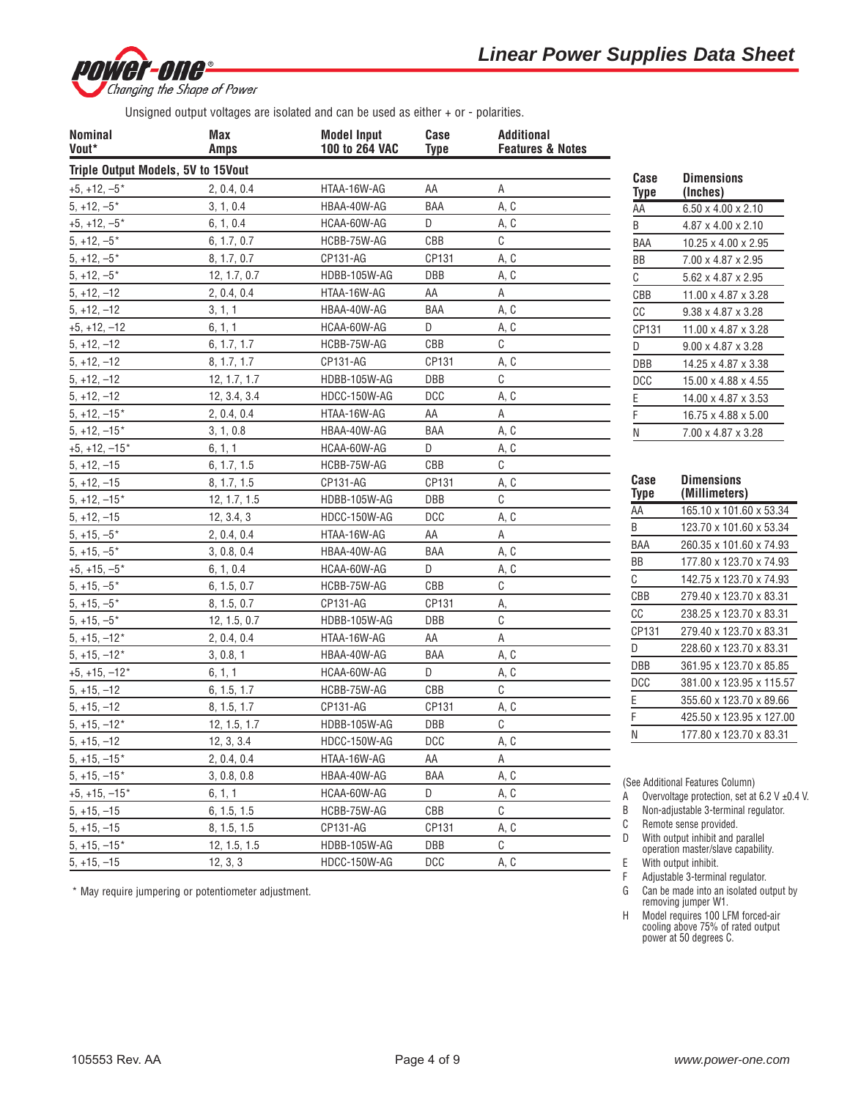

Unsigned output voltages are isolated and can be used as either + or - polarities.

| <b>Nominal</b><br>Vout*            | Max<br><b>Amps</b> | <b>Model Input</b><br>100 to 264 VAC | Case<br><b>Type</b> | <b>Additional</b><br><b>Features &amp; Notes</b> |                        |                                                                        |
|------------------------------------|--------------------|--------------------------------------|---------------------|--------------------------------------------------|------------------------|------------------------------------------------------------------------|
| Triple Output Models, 5V to 15Vout |                    |                                      |                     |                                                  |                        |                                                                        |
| $+5, +12, -5$ *                    | 2, 0.4, 0.4        | HTAA-16W-AG                          | AA                  | Α                                                | Case<br><b>Type</b>    | <b>Dimensions</b><br>(Inches)                                          |
| $5, +12, -5$ *                     | 3, 1, 0.4          | HBAA-40W-AG                          | BAA                 | A, C                                             | AA                     | $6.50 \times 4.00 \times 2.10$                                         |
| $+5, +12, -5$ *                    | 6, 1, 0.4          | HCAA-60W-AG                          | D                   | A, C                                             | B                      | 4.87 x 4.00 x 2.10                                                     |
| $5, +12, -5*$                      | 6, 1.7, 0.7        | HCBB-75W-AG                          | CBB                 | C                                                | BAA                    | 10.25 x 4.00 x 2.95                                                    |
| $5, +12, -5$ *                     | 8, 1.7, 0.7        | CP131-AG                             | CP131               | A, C                                             | BB                     | 7.00 x 4.87 x 2.95                                                     |
| $5, +12, -5$ *                     | 12, 1.7, 0.7       | HDBB-105W-AG                         | DBB                 | A, C                                             | C                      | 5.62 x 4.87 x 2.95                                                     |
| $5, +12, -12$                      | 2, 0.4, 0.4        | HTAA-16W-AG                          | AA                  | Α                                                | CBB                    | 11.00 x 4.87 x 3.28                                                    |
| $5, +12, -12$                      | 3, 1, 1            | HBAA-40W-AG                          | BAA                 | A, C                                             | $\mathbb{C}\mathbb{C}$ | 9.38 x 4.87 x 3.28                                                     |
| $+5, +12, -12$                     | 6, 1, 1            | HCAA-60W-AG                          | D                   | A, C                                             | CP131                  | 11.00 x 4.87 x 3.28                                                    |
| $5, +12, -12$                      | 6, 1.7, 1.7        | HCBB-75W-AG                          | CBB                 | C                                                | D                      | $9.00 \times 4.87 \times 3.28$                                         |
| $5, +12, -12$                      | 8, 1.7, 1.7        | CP131-AG                             | CP131               | A, C                                             | <b>DBB</b>             | 14.25 x 4.87 x 3.38                                                    |
| $5, +12, -12$                      | 12, 1.7, 1.7       | HDBB-105W-AG                         | <b>DBB</b>          | C                                                | <b>DCC</b>             | 15.00 x 4.88 x 4.55                                                    |
| $5, +12, -12$                      | 12, 3.4, 3.4       | HDCC-150W-AG                         | <b>DCC</b>          | A, C                                             | Ε                      | 14.00 x 4.87 x 3.53                                                    |
| $5, +12, -15*$                     | 2, 0.4, 0.4        | HTAA-16W-AG                          | AA                  | А                                                | F                      | 16.75 x 4.88 x 5.00                                                    |
| $5, +12, -15*$                     | 3, 1, 0.8          | HBAA-40W-AG                          | BAA                 | A, C                                             | N                      | 7.00 x 4.87 x 3.28                                                     |
| $+5, +12, -15*$                    | 6, 1, 1            | HCAA-60W-AG                          | D                   | A, C                                             |                        |                                                                        |
| $5, +12, -15$                      | 6, 1.7, 1.5        | HCBB-75W-AG                          | CBB                 | C                                                |                        |                                                                        |
| $5, +12, -15$                      | 8, 1.7, 1.5        | CP131-AG                             | CP131               | A, C                                             | Case                   | <b>Dimensions</b>                                                      |
| $5, +12, -15*$                     | 12, 1.7, 1.5       | HDBB-105W-AG                         | <b>DBB</b>          | C                                                | Type                   | (Millimeters)                                                          |
| $5, +12, -15$                      | 12, 3.4, 3         | HDCC-150W-AG                         | <b>DCC</b>          | A, C                                             | AA                     | 165.10 x 101.60 x 53.34                                                |
| $5, +15, -5*$                      | 2, 0.4, 0.4        | HTAA-16W-AG                          | AA                  | Α                                                | B                      | 123.70 x 101.60 x 53.34                                                |
| $5, +15, -5$ *                     | 3, 0.8, 0.4        | HBAA-40W-AG                          | BAA                 | A, C                                             | BAA                    | 260.35 x 101.60 x 74.93                                                |
| $+5, +15, -5*$                     | 6, 1, 0.4          | HCAA-60W-AG                          | D                   | A, C                                             | BB                     | 177.80 x 123.70 x 74.93                                                |
| $5, +15, -5$ *                     | 6, 1.5, 0.7        | HCBB-75W-AG                          | CBB                 | С                                                | С                      | 142.75 x 123.70 x 74.93                                                |
| $5, +15, -5$ *                     | 8, 1.5, 0.7        | CP131-AG                             | CP131               | А,                                               | CBB                    | 279.40 x 123.70 x 83.31                                                |
| $5, +15, -5$ *                     | 12, 1.5, 0.7       | HDBB-105W-AG                         | DBB                 | С                                                | cc                     | 238.25 x 123.70 x 83.31                                                |
| $5, +15, -12*$                     | 2, 0.4, 0.4        | HTAA-16W-AG                          | AA                  | Α                                                | CP131                  | 279.40 x 123.70 x 83.31                                                |
| $5, +15, -12*$                     | 3, 0.8, 1          | HBAA-40W-AG                          | BAA                 | A, C                                             | D                      | 228.60 x 123.70 x 83.31                                                |
| $+5, +15, -12*$                    | 6, 1, 1            | HCAA-60W-AG                          | D                   | A, C                                             | DBB                    | 361.95 x 123.70 x 85.85                                                |
| $5, +15, -12$                      | 6, 1.5, 1.7        | HCBB-75W-AG                          | CBB                 | C                                                | <b>DCC</b>             | 381.00 x 123.95 x 115.57                                               |
| $5, +15, -12$                      | 8, 1.5, 1.7        | CP131-AG                             | CP131               | A, C                                             | E                      | 355.60 x 123.70 x 89.66                                                |
| $5, +15, -12*$                     | 12, 1.5, 1.7       | HDBB-105W-AG                         | DBB                 | C                                                |                        | 425.50 x 123.95 x 127.00                                               |
| $5, +15, -12$                      | 12, 3, 3.4         | HDCC-150W-AG                         | <b>DCC</b>          | A, C                                             | Ν                      | 177.80 x 123.70 x 83.31                                                |
| $5, +15, -15*$                     | 2, 0.4, 0.4        | HTAA-16W-AG                          | AA                  | Α                                                |                        |                                                                        |
| $5, +15, -15*$                     | 3, 0.8, 0.8        | HBAA-40W-AG                          | BAA                 | A, C                                             |                        | (See Additional Features Column)                                       |
| $+5, +15, -15*$                    | 6, 1, 1            | HCAA-60W-AG                          | D                   | A, C                                             | Α                      | Overvoltage protection, set at 6.2 V ±0.4 V.                           |
| $5, +15, -15$                      | 6, 1.5, 1.5        | HCBB-75W-AG                          | CBB                 | С                                                | B                      | Non-adjustable 3-terminal regulator.                                   |
| $5, +15, -15$                      | 8, 1.5, 1.5        | CP131-AG                             | CP131               | A, C                                             | C                      | Remote sense provided.                                                 |
| $5, +15, -15*$                     | 12, 1.5, 1.5       | HDBB-105W-AG                         | DBB                 | С                                                | D                      | With output inhibit and parallel<br>operation master/slave capability. |
| $5, +15, -15$                      | 12, 3, 3           | HDCC-150W-AG                         | <b>DCC</b>          | A, C                                             | Ε                      | With output inhibit.                                                   |

\* May require jumpering or potentiometer adjustment.

- F Adjustable 3-terminal regulator.
- G Can be made into an isolated output by removing jumper W1.
- H Model requires 100 LFM forced-air cooling above 75% of rated output power at 50 degrees C.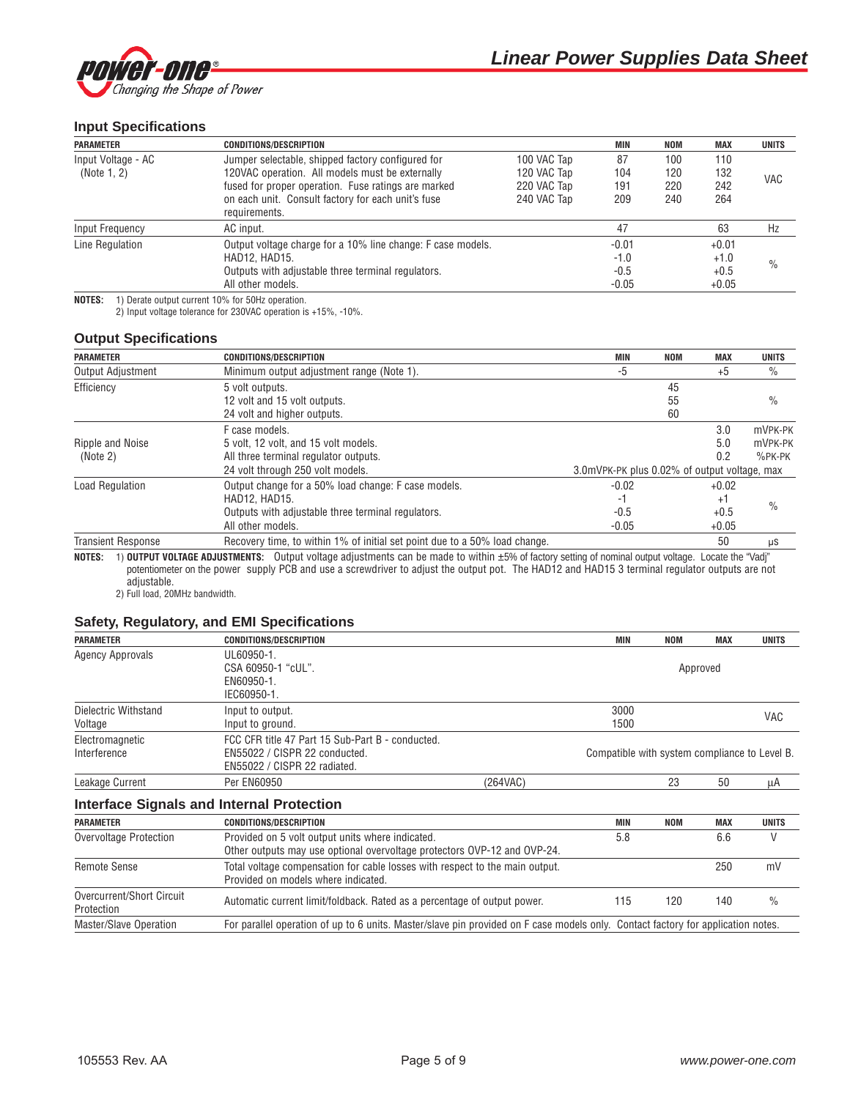

### **Input Specifications**

| <b>PARAMETER</b>   | <b>CONDITIONS/DESCRIPTION</b>                               |             | <b>MIN</b> | <b>NOM</b> | <b>MAX</b> | <b>UNITS</b>  |
|--------------------|-------------------------------------------------------------|-------------|------------|------------|------------|---------------|
| Input Voltage - AC | Jumper selectable, shipped factory configured for           | 100 VAC Tap | 87         | 100        | 110        |               |
| (Note 1, 2)        | 120VAC operation. All models must be externally             | 120 VAC Tap | 104        | 120        | 132        |               |
|                    | fused for proper operation. Fuse ratings are marked         | 220 VAC Tap | 191        | 220        | 242        | <b>VAC</b>    |
|                    | on each unit. Consult factory for each unit's fuse          | 240 VAC Tap | 209        | 240        | 264        |               |
|                    | requirements.                                               |             |            |            |            |               |
| Input Frequency    | AC input.                                                   |             | 47         |            | 63         | Hz            |
| Line Regulation    | Output voltage charge for a 10% line change: F case models. |             | $-0.01$    |            | $+0.01$    |               |
|                    | HAD12, HAD15.                                               |             | $-1.0$     |            | $+1.0$     | $\frac{0}{0}$ |
|                    | Outputs with adjustable three terminal regulators.          |             | $-0.5$     |            | $+0.5$     |               |
|                    | All other models.                                           |             | $-0.05$    |            | $+0.05$    |               |

**NOTES:** 1) Derate output current 10% for 50Hz operation.

2) Input voltage tolerance for 230VAC operation is +15%, -10%.

#### **Output Specifications**

| <b>PARAMETER</b>          | <b>CONDITIONS/DESCRIPTION</b>                                              | <b>MIN</b>                                   | <b>NOM</b> | <b>MAX</b> | <b>UNITS</b>  |
|---------------------------|----------------------------------------------------------------------------|----------------------------------------------|------------|------------|---------------|
| <b>Output Adjustment</b>  | Minimum output adjustment range (Note 1).                                  | -5                                           |            | $+5$       | $\frac{0}{0}$ |
| Efficiency                | 5 volt outputs.                                                            |                                              | 45         |            |               |
|                           | 12 volt and 15 volt outputs.                                               |                                              | 55         |            | $\%$          |
|                           | 24 volt and higher outputs.                                                |                                              | 60         |            |               |
|                           | F case models.                                                             |                                              |            | 3.0        | mVPK-PK       |
| Ripple and Noise          | 5 volt. 12 volt. and 15 volt models.                                       |                                              |            | 5.0        | mVPK-PK       |
| (Note 2)                  | All three terminal regulator outputs.                                      |                                              |            | 0.2        | $%$ PK-PK     |
|                           | 24 volt through 250 volt models.                                           | 3.0mVPK-PK plus 0.02% of output voltage, max |            |            |               |
| <b>Load Regulation</b>    | Output change for a 50% load change: F case models.                        | $-0.02$                                      |            | $+0.02$    |               |
|                           | <b>HAD12. HAD15.</b>                                                       | -1                                           |            | +1         | $\frac{0}{0}$ |
|                           | Outputs with adjustable three terminal regulators.                         | $-0.5$                                       |            | $+0.5$     |               |
|                           | All other models.                                                          | $-0.05$                                      |            | $+0.05$    |               |
| <b>Transient Response</b> | Recovery time, to within 1% of initial set point due to a 50% load change. |                                              |            | 50         | μS            |

**NOTES:** 1) **OUTPUT VOLTAGE ADJUSTMENTS:** Output voltage adjustments can be made to within ±5% of factory setting of nominal output voltage. Locate the "Vadj" potentiometer on the power supply PCB and use a screwdriver to adjust the output pot. The HAD12 and HAD15 3 terminal regulator outputs are not adjustable.

2) Full load, 20MHz bandwidth.

### **Safety, Regulatory, and EMI Specifications**

| <b>PARAMETER</b>        | <b>CONDITIONS/DESCRIPTION</b>                    |          | MIN                                           | <b>NOM</b> | <b>MAX</b> | <b>UNITS</b> |  |
|-------------------------|--------------------------------------------------|----------|-----------------------------------------------|------------|------------|--------------|--|
| <b>Agency Approvals</b> | UL60950-1.                                       |          |                                               |            |            |              |  |
|                         | CSA 60950-1 "cUL".                               |          |                                               |            | Approved   |              |  |
|                         | EN60950-1.                                       |          |                                               |            |            |              |  |
|                         | IEC60950-1.                                      |          |                                               |            |            |              |  |
| Dielectric Withstand    | Input to output.                                 |          | 3000                                          |            |            |              |  |
| Voltage                 | Input to ground.                                 |          | 1500                                          |            |            | VAC          |  |
| Electromagnetic         | FCC CFR title 47 Part 15 Sub-Part B - conducted. |          |                                               |            |            |              |  |
| Interference            | EN55022 / CISPR 22 conducted.                    |          | Compatible with system compliance to Level B. |            |            |              |  |
|                         | EN55022 / CISPR 22 radiated.                     |          |                                               |            |            |              |  |
| Leakage Current         | <b>Per EN60950</b>                               | (264VAC) |                                               | 23         | 50         | μA           |  |
|                         | <b>Interface Signals and Internal Protection</b> |          |                                               |            |            |              |  |

# **PARAMETER CONDITIONS/DESCRIPTION MIN NOM MAX UNITS** Overvoltage Protection **Provided on 5 volt output units where indicated.** 6.6 6 6 6 6 6 V Other outputs may use optional overvoltage protectors OVP-12 and OVP-24. Remote Sense Total voltage compensation for cable losses with respect to the main output. 250 mV Provided on models where indicated. Overcurrent/Short Circuit and Automatic current limit/foldback. Rated as a percentage of output power. 115 120 140 % Protection Master/Slave Operation For parallel operation of up to 6 units. Master/slave pin provided on F case models only. Contact factory for application notes.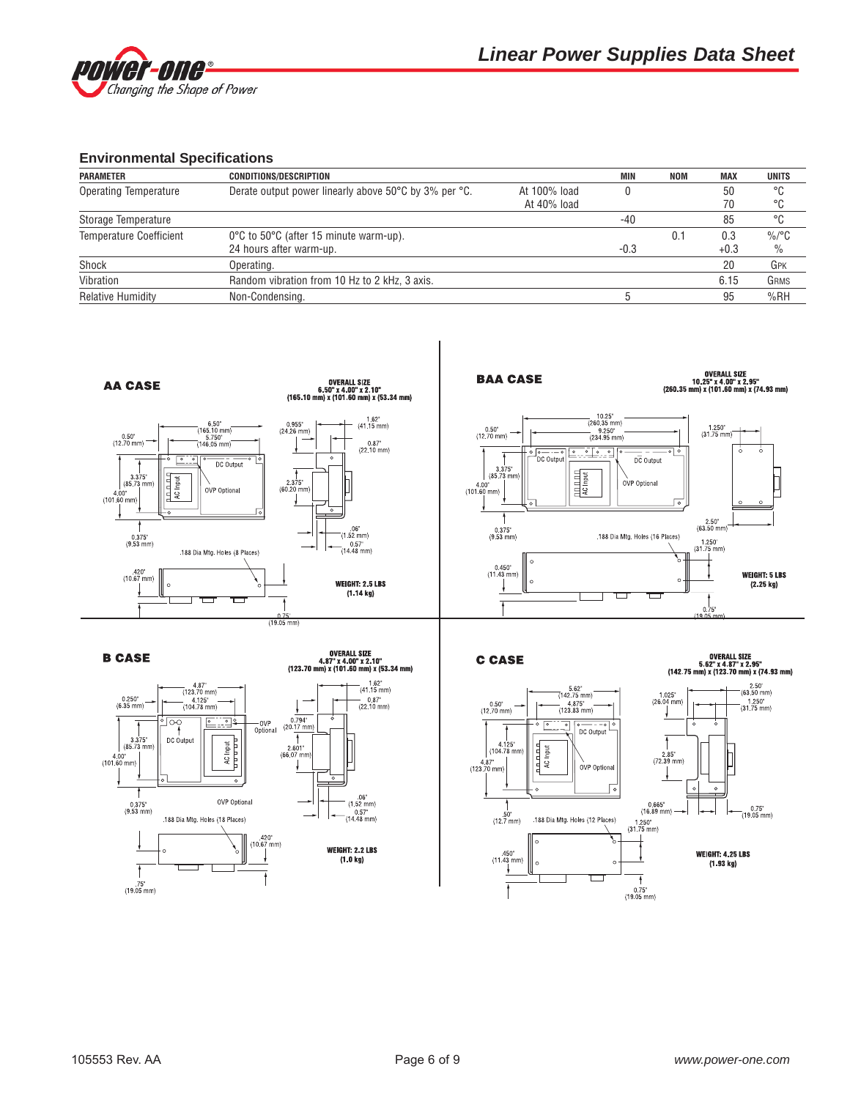

### **Environmental Specifications**

| <b>PARAMETER</b>               | <b>CONDITIONS/DESCRIPTION</b>                         |              | MIN    | NOM | <b>MAX</b> | <b>UNITS</b> |
|--------------------------------|-------------------------------------------------------|--------------|--------|-----|------------|--------------|
| <b>Operating Temperature</b>   | Derate output power linearly above 50°C by 3% per °C. | At 100% load |        |     | 50         | °C           |
|                                |                                                       | At 40% load  |        |     | 70         | °C           |
| Storage Temperature            |                                                       |              | -40    |     | 85         | °C           |
| <b>Temperature Coefficient</b> | 0°C to 50°C (after 15 minute warm-up).                |              |        | 0.1 | 0.3        | $\%$ /°C     |
|                                | 24 hours after warm-up.                               |              | $-0.3$ |     | $+0.3$     | $\%$         |
| Shock                          | Operating.                                            |              |        |     | 20         | GPK          |
| Vibration                      | Random vibration from 10 Hz to 2 kHz, 3 axis.         |              |        |     | 6.15       | GRMS         |
| <b>Relative Humidity</b>       | Non-Condensing.                                       |              |        |     | 95         | %RH          |

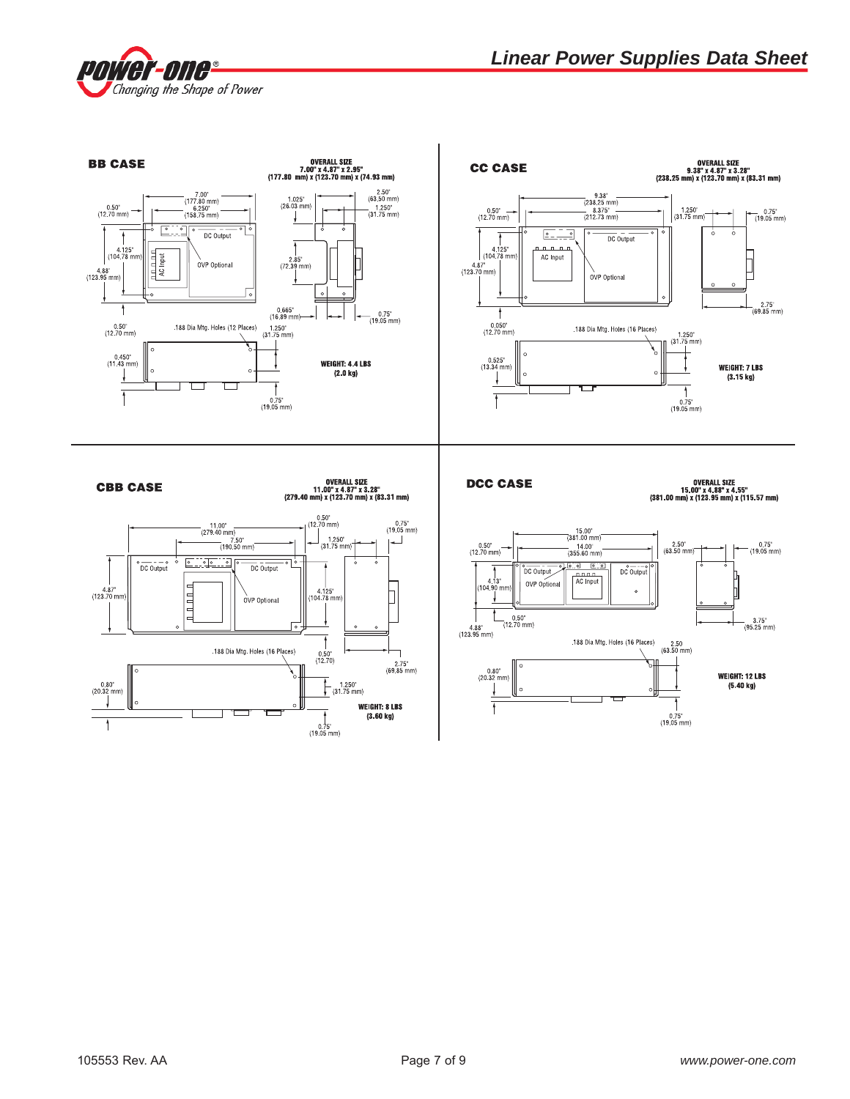

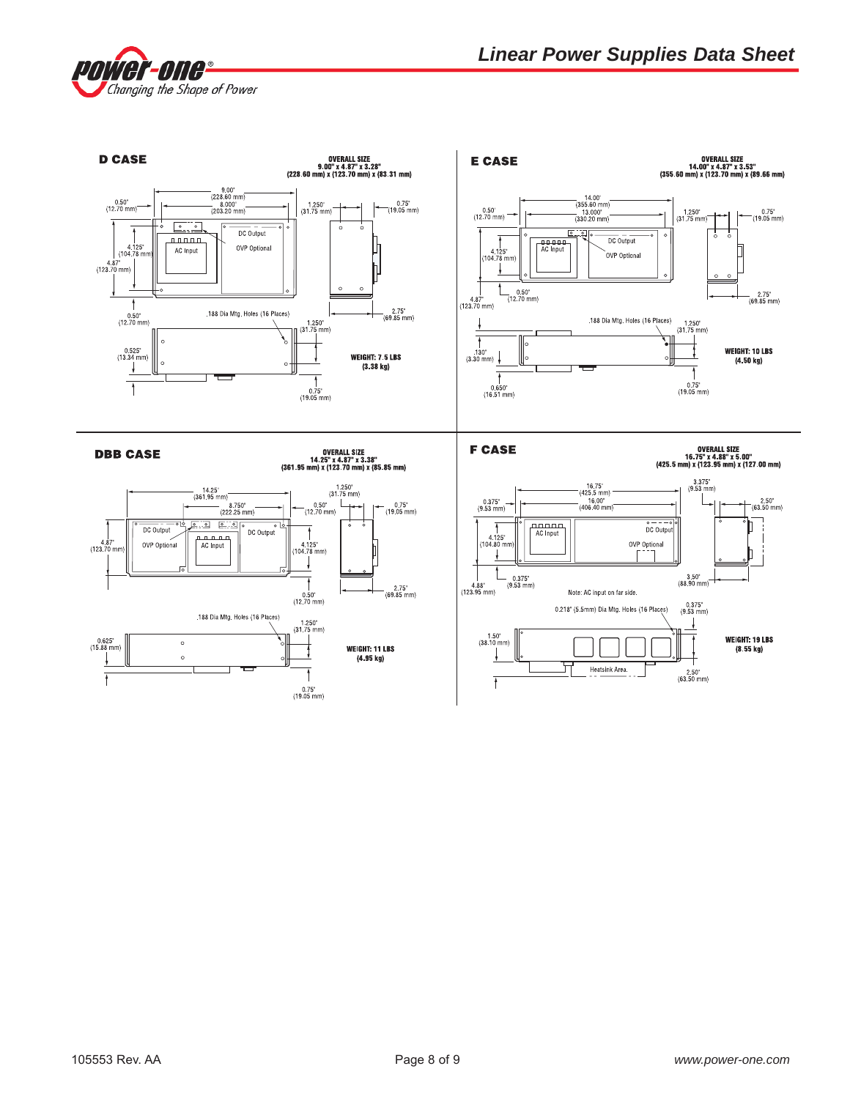